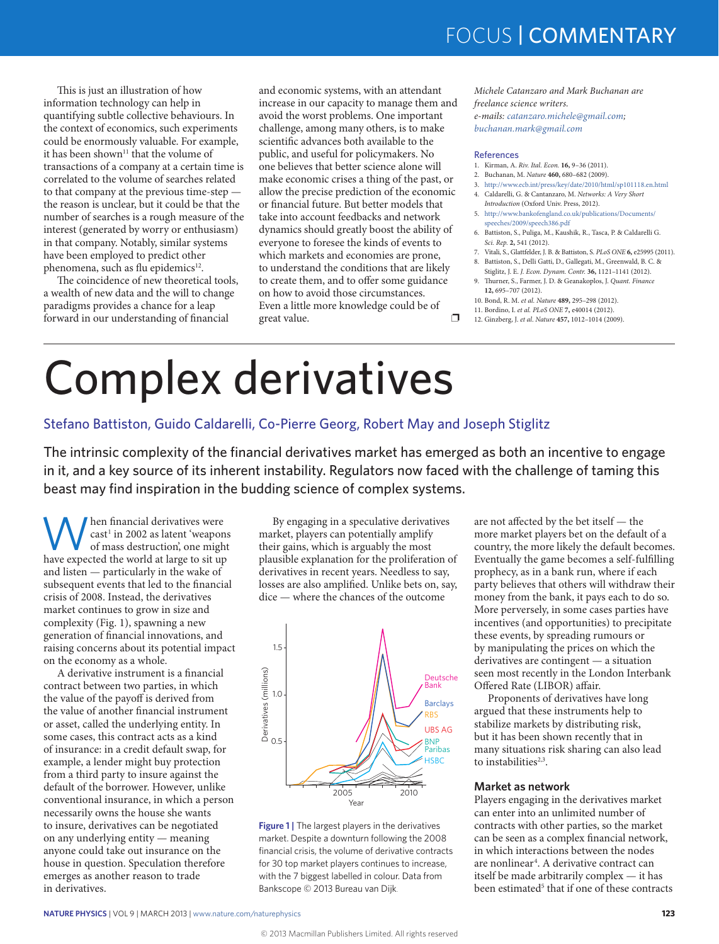## FOCUS | COMMENTARY

This is just an illustration of how information technology can help in quantifying subtle collective behaviours. In the context of economics, such experiments could be enormously valuable. For example, it has been shown<sup>11</sup> that the volume of transactions of a company at a certain time is correlated to the volume of searches related to that company at the previous time-step the reason is unclear, but it could be that the number of searches is a rough measure of the interest (generated by worry or enthusiasm) in that company. Notably, similar systems have been employed to predict other phenomena, such as flu epidemics<sup>12</sup>.

The coincidence of new theoretical tools, a wealth of new data and the will to change paradigms provides a chance for a leap forward in our understanding of financial

and economic systems, with an attendant increase in our capacity to manage them and avoid the worst problems. One important challenge, among many others, is to make scientific advances both available to the public, and useful for policymakers. No one believes that better science alone will make economic crises a thing of the past, or allow the precise prediction of the economic or financial future. But better models that take into account feedbacks and network dynamics should greatly boost the ability of everyone to foresee the kinds of events to which markets and economies are prone, to understand the conditions that are likely to create them, and to offer some guidance on how to avoid those circumstances. Even a little more knowledge could be of great value.  $\Box$ 

*Michele Catanzaro and Mark Buchanan are freelance science writers.*

*e-mails: [catanzaro.michele@gmail.com;](mailto:catanzaro.michele@gmail.com) [buchanan.mark@gmail.com](mailto:buchanan.mark@gmail.com)*

#### References

- 1. Kirman, A. *Riv. Ital. Econ.* **16,** 9–36 (2011).
- 2. Buchanan, M. *Nature* **460,** 680–682 (2009).
- 3. <http://www.ecb.int/press/key/date/2010/html/sp101118.en.html> 4. Caldarelli, G. & Cantanzaro, M. *Networks: A Very Short*
- *Introduction* (Oxford Univ. Press, 2012). 5. [http://www.bankofengland.co.uk/publications/Documents/](http://www.bankofengland.co.uk/publications/Documents/speeches/2009/speech386.pdf)
- [speeches/2009/speech386.pdf](http://www.bankofengland.co.uk/publications/Documents/speeches/2009/speech386.pdf) 6. Battiston, S., Puliga, M., Kaushik, R., Tasca, P. & Caldarelli G.
- *Sci. Rep.* **2,** 541 (2012). 7. Vitali, S., Glattfelder, J. B. & Battiston, S. *PLoS ONE* **6,** e25995 (2011).
- 8. Battiston, S., Delli Gatti, D., Gallegati, M., Greenwald, B. C. &
- Stiglitz, J. E. *J. Econ. Dynam. Contr.* **36,** 1121–1141 (2012). 9. Thurner, S., Farmer, J. D. & Geanakoplos, J. *Quant. Finance* **12,** 695–707 (2012).
- 10. Bond, R. M. *et al. Nature* **489,** 295–298 (2012).
- 11. Bordino, I. *et al. PLoS ONE* **7,** e40014 (2012).
- 12. Ginzberg, J. *et al*. *Nature* **457,** 1012–1014 (2009).

# Complex derivatives

### Stefano Battiston, Guido Caldarelli, Co-Pierre Georg, Robert May and Joseph Stiglitz

The intrinsic complexity of the financial derivatives market has emerged as both an incentive to engage in it, and a key source of its inherent instability. Regulators now faced with the challenge of taming this beast may find inspiration in the budding science of complex systems.

When financial derivatives were cast<sup>1</sup> in 2002 as latent 'weapons of mass destruction', one might have expected the world at large to sit up and listen — particularly in the wake of subsequent events that led to the financial crisis of 2008. Instead, the derivatives market continues to grow in size and complexity (Fig. 1), spawning a new generation of financial innovations, and raising concerns about its potential impact on the economy as a whole.

A derivative instrument is a financial contract between two parties, in which the value of the payoff is derived from the value of another financial instrument or asset, called the underlying entity. In some cases, this contract acts as a kind of insurance: in a credit default swap, for example, a lender might buy protection from a third party to insure against the default of the borrower. However, unlike conventional insurance, in which a person necessarily owns the house she wants to insure, derivatives can be negotiated on any underlying entity — meaning anyone could take out insurance on the house in question. Speculation therefore emerges as another reason to trade in derivatives.

By engaging in a speculative derivatives market, players can potentially amplify their gains, which is arguably the most plausible explanation for the proliferation of derivatives in recent years. Needless to say, losses are also amplified. Unlike bets on, say, dice — where the chances of the outcome



**Figure 1 |** The largest players in the derivatives market. Despite a downturn following the 2008 financial crisis, the volume of derivative contracts for 30 top market players continues to increase, with the 7 biggest labelled in colour. Data from Bankscope © 2013 Bureau van Dijk.

are not affected by the bet itself — the more market players bet on the default of a country, the more likely the default becomes. Eventually the game becomes a self-fulfilling prophecy, as in a bank run, where if each party believes that others will withdraw their money from the bank, it pays each to do so. More perversely, in some cases parties have incentives (and opportunities) to precipitate these events, by spreading rumours or by manipulating the prices on which the derivatives are contingent — a situation seen most recently in the London Interbank Offered Rate (LIBOR) affair.

Proponents of derivatives have long argued that these instruments help to stabilize markets by distributing risk, but it has been shown recently that in many situations risk sharing can also lead to instabilities $2,3$ .

### **Market as network**

Players engaging in the derivatives market can enter into an unlimited number of contracts with other parties, so the market can be seen as a complex financial network, in which interactions between the nodes are nonlinear<sup>4</sup>. A derivative contract can itself be made arbitrarily complex — it has been estimated<sup>5</sup> that if one of these contracts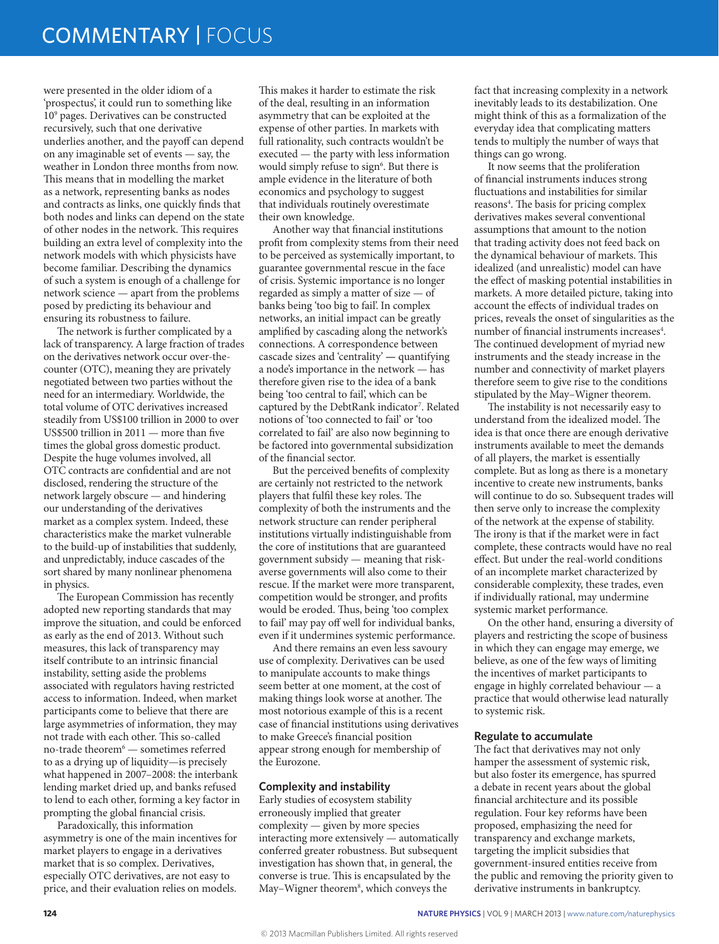were presented in the older idiom of a 'prospectus', it could run to something like 109 pages. Derivatives can be constructed recursively, such that one derivative underlies another, and the payoff can depend on any imaginable set of events — say, the weather in London three months from now. This means that in modelling the market as a network, representing banks as nodes and contracts as links, one quickly finds that both nodes and links can depend on the state of other nodes in the network. This requires building an extra level of complexity into the network models with which physicists have become familiar. Describing the dynamics of such a system is enough of a challenge for network science — apart from the problems posed by predicting its behaviour and ensuring its robustness to failure.

The network is further complicated by a lack of transparency. A large fraction of trades on the derivatives network occur over-thecounter (OTC), meaning they are privately negotiated between two parties without the need for an intermediary. Worldwide, the total volume of OTC derivatives increased steadily from US\$100 trillion in 2000 to over US\$500 trillion in 2011 — more than five times the global gross domestic product. Despite the huge volumes involved, all OTC contracts are confidential and are not disclosed, rendering the structure of the network largely obscure — and hindering our understanding of the derivatives market as a complex system. Indeed, these characteristics make the market vulnerable to the build-up of instabilities that suddenly, and unpredictably, induce cascades of the sort shared by many nonlinear phenomena in physics.

The European Commission has recently adopted new reporting standards that may improve the situation, and could be enforced as early as the end of 2013. Without such measures, this lack of transparency may itself contribute to an intrinsic financial instability, setting aside the problems associated with regulators having restricted access to information. Indeed, when market participants come to believe that there are large asymmetries of information, they may not trade with each other. This so-called no-trade theorem<sup>6</sup> — sometimes referred to as a drying up of liquidity—is precisely what happened in 2007–2008: the interbank lending market dried up, and banks refused to lend to each other, forming a key factor in prompting the global financial crisis.

Paradoxically, this information asymmetry is one of the main incentives for market players to engage in a derivatives market that is so complex. Derivatives, especially OTC derivatives, are not easy to price, and their evaluation relies on models.

This makes it harder to estimate the risk of the deal, resulting in an information asymmetry that can be exploited at the expense of other parties. In markets with full rationality, such contracts wouldn't be executed — the party with less information would simply refuse to sign<sup>6</sup>. But there is ample evidence in the literature of both economics and psychology to suggest that individuals routinely overestimate their own knowledge.

Another way that financial institutions profit from complexity stems from their need to be perceived as systemically important, to guarantee governmental rescue in the face of crisis. Systemic importance is no longer regarded as simply a matter of size — of banks being 'too big to fail'. In complex networks, an initial impact can be greatly amplified by cascading along the network's connections. A correspondence between cascade sizes and 'centrality' **—** quantifying a node's importance in the network — has therefore given rise to the idea of a bank being 'too central to fail', which can be captured by the DebtRank indicator<sup>7</sup>. Related notions of 'too connected to fail' or 'too correlated to fail' are also now beginning to be factored into governmental subsidization of the financial sector.

But the perceived benefits of complexity are certainly not restricted to the network players that fulfil these key roles. The complexity of both the instruments and the network structure can render peripheral institutions virtually indistinguishable from the core of institutions that are guaranteed government subsidy — meaning that riskaverse governments will also come to their rescue. If the market were more transparent, competition would be stronger, and profits would be eroded. Thus, being 'too complex to fail' may pay off well for individual banks, even if it undermines systemic performance.

And there remains an even less savoury use of complexity. Derivatives can be used to manipulate accounts to make things seem better at one moment, at the cost of making things look worse at another. The most notorious example of this is a recent case of financial institutions using derivatives to make Greece's financial position appear strong enough for membership of the Eurozone.

### **Complexity and instability**

Early studies of ecosystem stability erroneously implied that greater complexity — given by more species interacting more extensively — automatically conferred greater robustness. But subsequent investigation has shown that, in general, the converse is true. This is encapsulated by the May-Wigner theorem<sup>8</sup>, which conveys the

fact that increasing complexity in a network inevitably leads to its destabilization. One might think of this as a formalization of the everyday idea that complicating matters tends to multiply the number of ways that things can go wrong.

It now seems that the proliferation of financial instruments induces strong fluctuations and instabilities for similar reasons<sup>4</sup>. The basis for pricing complex derivatives makes several conventional assumptions that amount to the notion that trading activity does not feed back on the dynamical behaviour of markets. This idealized (and unrealistic) model can have the effect of masking potential instabilities in markets. A more detailed picture, taking into account the effects of individual trades on prices, reveals the onset of singularities as the number of financial instruments increases<sup>4</sup>. The continued development of myriad new instruments and the steady increase in the number and connectivity of market players therefore seem to give rise to the conditions stipulated by the May–Wigner theorem.

The instability is not necessarily easy to understand from the idealized model. The idea is that once there are enough derivative instruments available to meet the demands of all players, the market is essentially complete. But as long as there is a monetary incentive to create new instruments, banks will continue to do so. Subsequent trades will then serve only to increase the complexity of the network at the expense of stability. The irony is that if the market were in fact complete, these contracts would have no real effect. But under the real-world conditions of an incomplete market characterized by considerable complexity, these trades, even if individually rational, may undermine systemic market performance.

On the other hand, ensuring a diversity of players and restricting the scope of business in which they can engage may emerge, we believe, as one of the few ways of limiting the incentives of market participants to engage in highly correlated behaviour — a practice that would otherwise lead naturally to systemic risk.

### **Regulate to accumulate**

The fact that derivatives may not only hamper the assessment of systemic risk, but also foster its emergence, has spurred a debate in recent years about the global financial architecture and its possible regulation. Four key reforms have been proposed, emphasizing the need for transparency and exchange markets, targeting the implicit subsidies that government-insured entities receive from the public and removing the priority given to derivative instruments in bankruptcy.